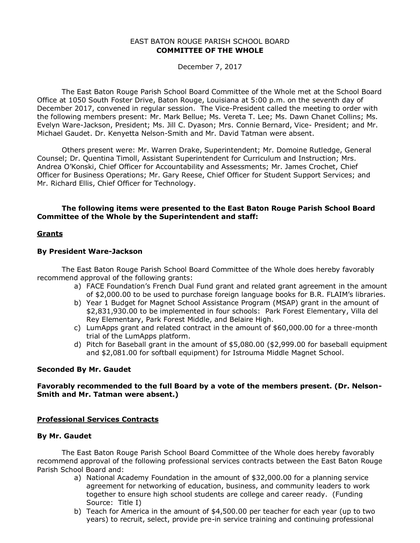# EAST BATON ROUGE PARISH SCHOOL BOARD **COMMITTEE OF THE WHOLE**

December 7, 2017

The East Baton Rouge Parish School Board Committee of the Whole met at the School Board Office at 1050 South Foster Drive, Baton Rouge, Louisiana at 5:00 p.m. on the seventh day of December 2017, convened in regular session. The Vice-President called the meeting to order with the following members present: Mr. Mark Bellue; Ms. Vereta T. Lee; Ms. Dawn Chanet Collins; Ms. Evelyn Ware-Jackson, President; Ms. Jill C. Dyason; Mrs. Connie Bernard, Vice- President; and Mr. Michael Gaudet. Dr. Kenyetta Nelson-Smith and Mr. David Tatman were absent.

Others present were: Mr. Warren Drake, Superintendent; Mr. Domoine Rutledge, General Counsel; Dr. Quentina Timoll, Assistant Superintendent for Curriculum and Instruction; Mrs. Andrea O'Konski, Chief Officer for Accountability and Assessments; Mr. James Crochet, Chief Officer for Business Operations; Mr. Gary Reese, Chief Officer for Student Support Services; and Mr. Richard Ellis, Chief Officer for Technology.

# **The following items were presented to the East Baton Rouge Parish School Board Committee of the Whole by the Superintendent and staff:**

# **Grants**

## **By President Ware-Jackson**

The East Baton Rouge Parish School Board Committee of the Whole does hereby favorably recommend approval of the following grants:

- a) FACE Foundation's French Dual Fund grant and related grant agreement in the amount of \$2,000.00 to be used to purchase foreign language books for B.R. FLAIM's libraries.
- b) Year 1 Budget for Magnet School Assistance Program (MSAP) grant in the amount of \$2,831,930.00 to be implemented in four schools: Park Forest Elementary, Villa del Rey Elementary, Park Forest Middle, and Belaire High.
- c) LumApps grant and related contract in the amount of \$60,000.00 for a three-month trial of the LumApps platform.
- d) Pitch for Baseball grant in the amount of \$5,080.00 (\$2,999.00 for baseball equipment and \$2,081.00 for softball equipment) for Istrouma Middle Magnet School.

## **Seconded By Mr. Gaudet**

## **Favorably recommended to the full Board by a vote of the members present. (Dr. Nelson-Smith and Mr. Tatman were absent.)**

# **Professional Services Contracts**

## **By Mr. Gaudet**

The East Baton Rouge Parish School Board Committee of the Whole does hereby favorably recommend approval of the following professional services contracts between the East Baton Rouge Parish School Board and:

- a) National Academy Foundation in the amount of \$32,000.00 for a planning service agreement for networking of education, business, and community leaders to work together to ensure high school students are college and career ready. (Funding Source: Title I)
- b) Teach for America in the amount of \$4,500.00 per teacher for each year (up to two years) to recruit, select, provide pre-in service training and continuing professional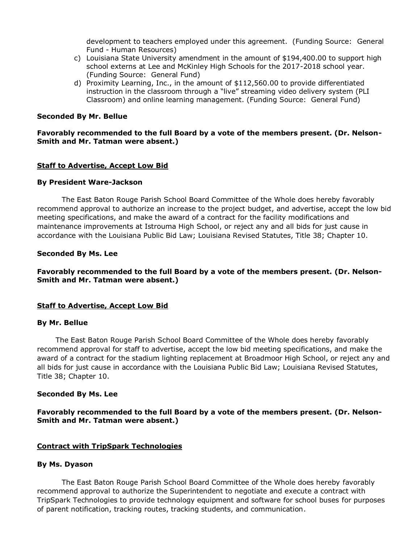development to teachers employed under this agreement. (Funding Source: General Fund - Human Resources)

- c) Louisiana State University amendment in the amount of \$194,400.00 to support high school externs at Lee and McKinley High Schools for the 2017-2018 school year. (Funding Source: General Fund)
- d) Proximity Learning, Inc., in the amount of \$112,560.00 to provide differentiated instruction in the classroom through a "live" streaming video delivery system (PLI Classroom) and online learning management. (Funding Source: General Fund)

### **Seconded By Mr. Bellue**

# **Favorably recommended to the full Board by a vote of the members present. (Dr. Nelson-Smith and Mr. Tatman were absent.)**

## **Staff to Advertise, Accept Low Bid**

### **By President Ware-Jackson**

The East Baton Rouge Parish School Board Committee of the Whole does hereby favorably recommend approval to authorize an increase to the project budget, and advertise, accept the low bid meeting specifications, and make the award of a contract for the facility modifications and maintenance improvements at Istrouma High School, or reject any and all bids for just cause in accordance with the Louisiana Public Bid Law; Louisiana Revised Statutes, Title 38; Chapter 10.

### **Seconded By Ms. Lee**

**Favorably recommended to the full Board by a vote of the members present. (Dr. Nelson-Smith and Mr. Tatman were absent.)**

## **Staff to Advertise, Accept Low Bid**

#### **By Mr. Bellue**

The East Baton Rouge Parish School Board Committee of the Whole does hereby favorably recommend approval for staff to advertise, accept the low bid meeting specifications, and make the award of a contract for the stadium lighting replacement at Broadmoor High School, or reject any and all bids for just cause in accordance with the Louisiana Public Bid Law; Louisiana Revised Statutes, Title 38; Chapter 10.

#### **Seconded By Ms. Lee**

## **Favorably recommended to the full Board by a vote of the members present. (Dr. Nelson-Smith and Mr. Tatman were absent.)**

#### **Contract with TripSpark Technologies**

#### **By Ms. Dyason**

The East Baton Rouge Parish School Board Committee of the Whole does hereby favorably recommend approval to authorize the Superintendent to negotiate and execute a contract with TripSpark Technologies to provide technology equipment and software for school buses for purposes of parent notification, tracking routes, tracking students, and communication.